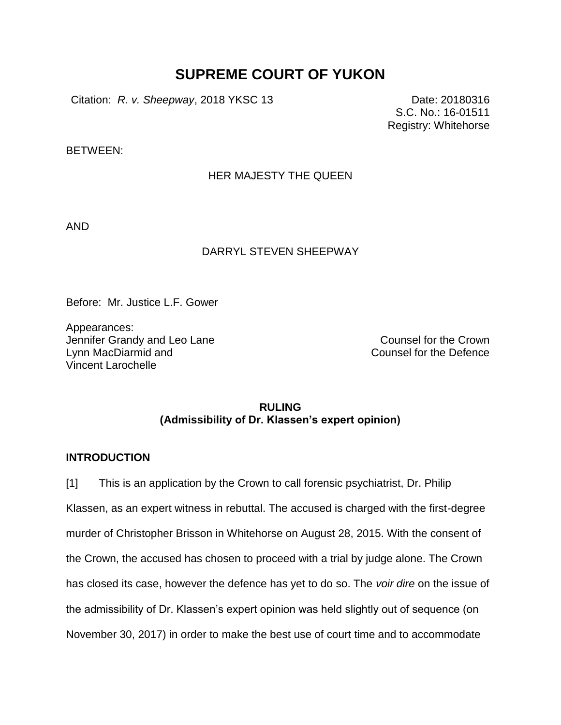# **SUPREME COURT OF YUKON**

Citation: *R. v. Sheepway*, 2018 YKSC 13 Date: 20180316

S.C. No.: 16-01511 Registry: Whitehorse

BETWEEN:

## HER MAJESTY THE QUEEN

AND

#### DARRYL STEVEN SHEEPWAY

Before: Mr. Justice L.F. Gower

Appearances: Jennifer Grandy and Leo Lane Counsel for the Crown Lynn MacDiarmid and Vincent Larochelle

Counsel for the Defence

## **RULING (Admissibility of Dr. Klassen's expert opinion)**

## **INTRODUCTION**

[1] This is an application by the Crown to call forensic psychiatrist, Dr. Philip Klassen, as an expert witness in rebuttal. The accused is charged with the first-degree murder of Christopher Brisson in Whitehorse on August 28, 2015. With the consent of the Crown, the accused has chosen to proceed with a trial by judge alone. The Crown has closed its case, however the defence has yet to do so. The *voir dire* on the issue of the admissibility of Dr. Klassen's expert opinion was held slightly out of sequence (on November 30, 2017) in order to make the best use of court time and to accommodate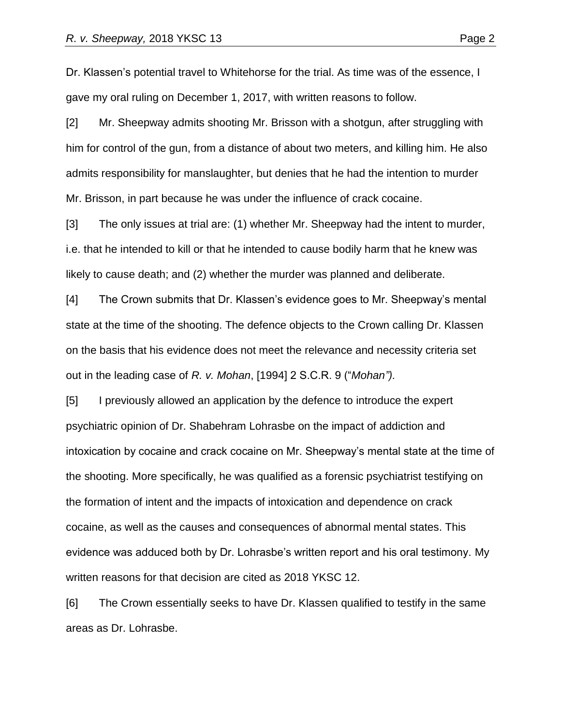Dr. Klassen's potential travel to Whitehorse for the trial. As time was of the essence, I gave my oral ruling on December 1, 2017, with written reasons to follow.

[2] Mr. Sheepway admits shooting Mr. Brisson with a shotgun, after struggling with him for control of the gun, from a distance of about two meters, and killing him. He also admits responsibility for manslaughter, but denies that he had the intention to murder Mr. Brisson, in part because he was under the influence of crack cocaine.

[3] The only issues at trial are: (1) whether Mr. Sheepway had the intent to murder, i.e. that he intended to kill or that he intended to cause bodily harm that he knew was likely to cause death; and (2) whether the murder was planned and deliberate.

[4] The Crown submits that Dr. Klassen's evidence goes to Mr. Sheepway's mental state at the time of the shooting. The defence objects to the Crown calling Dr. Klassen on the basis that his evidence does not meet the relevance and necessity criteria set out in the leading case of *R. v. Mohan*, [1994] 2 S.C.R. 9 ("*Mohan").*

[5] I previously allowed an application by the defence to introduce the expert psychiatric opinion of Dr. Shabehram Lohrasbe on the impact of addiction and intoxication by cocaine and crack cocaine on Mr. Sheepway's mental state at the time of the shooting. More specifically, he was qualified as a forensic psychiatrist testifying on the formation of intent and the impacts of intoxication and dependence on crack cocaine, as well as the causes and consequences of abnormal mental states. This evidence was adduced both by Dr. Lohrasbe's written report and his oral testimony. My written reasons for that decision are cited as 2018 YKSC 12.

[6] The Crown essentially seeks to have Dr. Klassen qualified to testify in the same areas as Dr. Lohrasbe.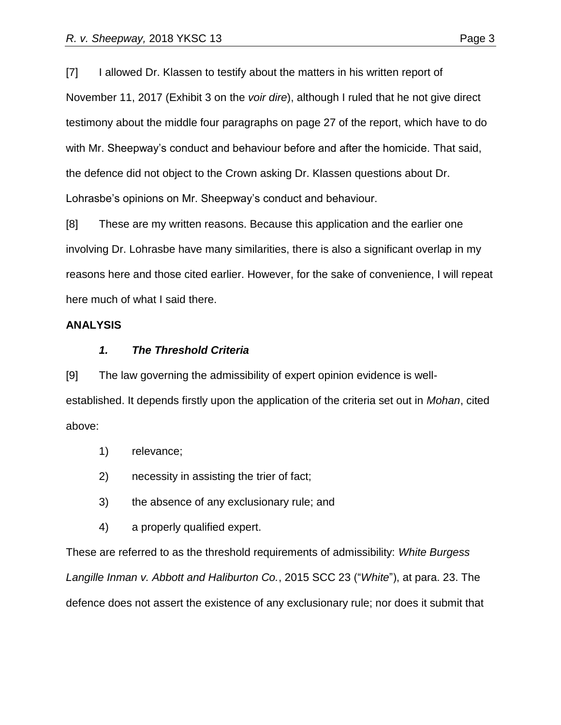[7] I allowed Dr. Klassen to testify about the matters in his written report of November 11, 2017 (Exhibit 3 on the *voir dire*), although I ruled that he not give direct testimony about the middle four paragraphs on page 27 of the report, which have to do with Mr. Sheepway's conduct and behaviour before and after the homicide. That said, the defence did not object to the Crown asking Dr. Klassen questions about Dr. Lohrasbe's opinions on Mr. Sheepway's conduct and behaviour.

[8] These are my written reasons. Because this application and the earlier one involving Dr. Lohrasbe have many similarities, there is also a significant overlap in my reasons here and those cited earlier. However, for the sake of convenience, I will repeat here much of what I said there.

#### **ANALYSIS**

#### *1. The Threshold Criteria*

[9] The law governing the admissibility of expert opinion evidence is wellestablished. It depends firstly upon the application of the criteria set out in *Mohan*, cited above:

- 1) relevance;
- 2) necessity in assisting the trier of fact;
- 3) the absence of any exclusionary rule; and
- 4) a properly qualified expert.

These are referred to as the threshold requirements of admissibility: *White Burgess Langille Inman v. Abbott and Haliburton Co.*, 2015 SCC 23 ("*White*"), at para. 23. The defence does not assert the existence of any exclusionary rule; nor does it submit that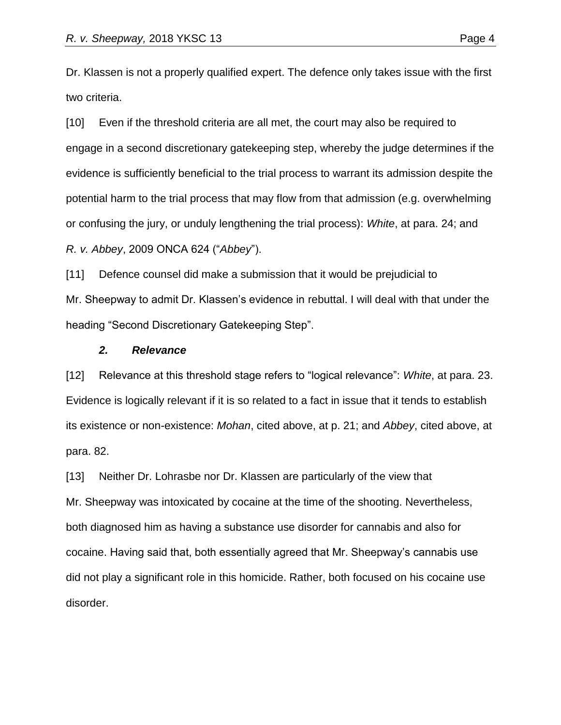Dr. Klassen is not a properly qualified expert. The defence only takes issue with the first two criteria.

[10] Even if the threshold criteria are all met, the court may also be required to engage in a second discretionary gatekeeping step, whereby the judge determines if the evidence is sufficiently beneficial to the trial process to warrant its admission despite the potential harm to the trial process that may flow from that admission (e.g. overwhelming or confusing the jury, or unduly lengthening the trial process): *White*, at para. 24; and *R. v. Abbey*, 2009 ONCA 624 ("*Abbey*").

[11] Defence counsel did make a submission that it would be prejudicial to Mr. Sheepway to admit Dr. Klassen's evidence in rebuttal. I will deal with that under the heading "Second Discretionary Gatekeeping Step".

#### *2. Relevance*

[12] Relevance at this threshold stage refers to "logical relevance": *White*, at para. 23. Evidence is logically relevant if it is so related to a fact in issue that it tends to establish its existence or non-existence: *Mohan*, cited above, at p. 21; and *Abbey*, cited above, at para. 82.

[13] Neither Dr. Lohrasbe nor Dr. Klassen are particularly of the view that Mr. Sheepway was intoxicated by cocaine at the time of the shooting. Nevertheless, both diagnosed him as having a substance use disorder for cannabis and also for cocaine. Having said that, both essentially agreed that Mr. Sheepway's cannabis use did not play a significant role in this homicide. Rather, both focused on his cocaine use disorder.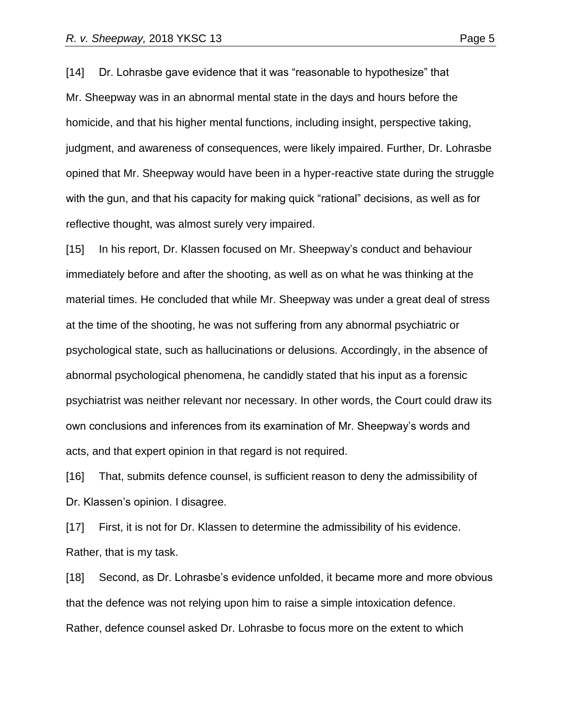[14] Dr. Lohrasbe gave evidence that it was "reasonable to hypothesize" that Mr. Sheepway was in an abnormal mental state in the days and hours before the homicide, and that his higher mental functions, including insight, perspective taking, judgment, and awareness of consequences, were likely impaired. Further, Dr. Lohrasbe opined that Mr. Sheepway would have been in a hyper-reactive state during the struggle with the gun, and that his capacity for making quick "rational" decisions, as well as for reflective thought, was almost surely very impaired.

[15] In his report, Dr. Klassen focused on Mr. Sheepway's conduct and behaviour immediately before and after the shooting, as well as on what he was thinking at the material times. He concluded that while Mr. Sheepway was under a great deal of stress at the time of the shooting, he was not suffering from any abnormal psychiatric or psychological state, such as hallucinations or delusions. Accordingly, in the absence of abnormal psychological phenomena, he candidly stated that his input as a forensic psychiatrist was neither relevant nor necessary. In other words, the Court could draw its own conclusions and inferences from its examination of Mr. Sheepway's words and acts, and that expert opinion in that regard is not required.

[16] That, submits defence counsel, is sufficient reason to deny the admissibility of Dr. Klassen's opinion. I disagree.

[17] First, it is not for Dr. Klassen to determine the admissibility of his evidence. Rather, that is my task.

[18] Second, as Dr. Lohrasbe's evidence unfolded, it became more and more obvious that the defence was not relying upon him to raise a simple intoxication defence. Rather, defence counsel asked Dr. Lohrasbe to focus more on the extent to which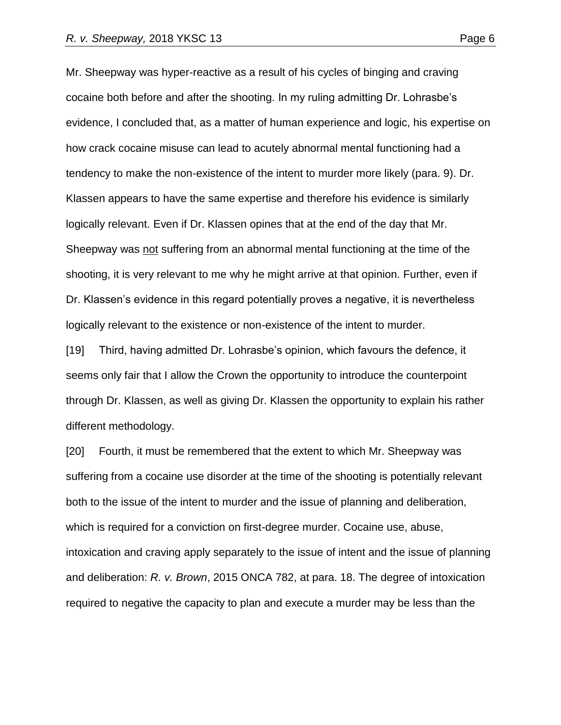Mr. Sheepway was hyper-reactive as a result of his cycles of binging and craving cocaine both before and after the shooting. In my ruling admitting Dr. Lohrasbe's evidence, I concluded that, as a matter of human experience and logic, his expertise on how crack cocaine misuse can lead to acutely abnormal mental functioning had a tendency to make the non-existence of the intent to murder more likely (para. 9). Dr. Klassen appears to have the same expertise and therefore his evidence is similarly logically relevant. Even if Dr. Klassen opines that at the end of the day that Mr. Sheepway was not suffering from an abnormal mental functioning at the time of the shooting, it is very relevant to me why he might arrive at that opinion. Further, even if Dr. Klassen's evidence in this regard potentially proves a negative, it is nevertheless logically relevant to the existence or non-existence of the intent to murder.

[19] Third, having admitted Dr. Lohrasbe's opinion, which favours the defence, it seems only fair that I allow the Crown the opportunity to introduce the counterpoint through Dr. Klassen, as well as giving Dr. Klassen the opportunity to explain his rather different methodology.

[20] Fourth, it must be remembered that the extent to which Mr. Sheepway was suffering from a cocaine use disorder at the time of the shooting is potentially relevant both to the issue of the intent to murder and the issue of planning and deliberation, which is required for a conviction on first-degree murder. Cocaine use, abuse, intoxication and craving apply separately to the issue of intent and the issue of planning and deliberation: *R. v. Brown*, 2015 ONCA 782, at para. 18. The degree of intoxication required to negative the capacity to plan and execute a murder may be less than the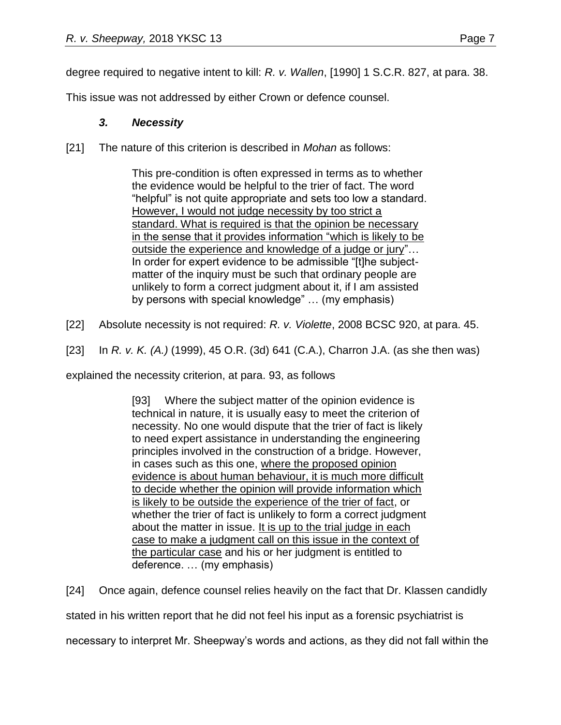degree required to negative intent to kill: *R. v. Wallen*, [1990] 1 S.C.R. 827, at para. 38.

This issue was not addressed by either Crown or defence counsel.

# *3. Necessity*

[21] The nature of this criterion is described in *Mohan* as follows:

This pre-condition is often expressed in terms as to whether the evidence would be helpful to the trier of fact. The word "helpful" is not quite appropriate and sets too low a standard. However, I would not judge necessity by too strict a standard. What is required is that the opinion be necessary in the sense that it provides information "which is likely to be outside the experience and knowledge of a judge or jury"… In order for expert evidence to be admissible "[t]he subjectmatter of the inquiry must be such that ordinary people are unlikely to form a correct judgment about it, if I am assisted by persons with special knowledge" … (my emphasis)

- [22] Absolute necessity is not required: *R. v. Violette*, 2008 BCSC 920, at para. 45.
- [23] In *R. v. K. (A.)* (1999), 45 O.R. (3d) 641 (C.A.), Charron J.A. (as she then was)

explained the necessity criterion, at para. 93, as follows

[93] Where the subject matter of the opinion evidence is technical in nature, it is usually easy to meet the criterion of necessity. No one would dispute that the trier of fact is likely to need expert assistance in understanding the engineering principles involved in the construction of a bridge. However, in cases such as this one, where the proposed opinion evidence is about human behaviour, it is much more difficult to decide whether the opinion will provide information which is likely to be outside the experience of the trier of fact, or whether the trier of fact is unlikely to form a correct judgment about the matter in issue. It is up to the trial judge in each case to make a judgment call on this issue in the context of the particular case and his or her judgment is entitled to deference. … (my emphasis)

[24] Once again, defence counsel relies heavily on the fact that Dr. Klassen candidly

stated in his written report that he did not feel his input as a forensic psychiatrist is

necessary to interpret Mr. Sheepway's words and actions, as they did not fall within the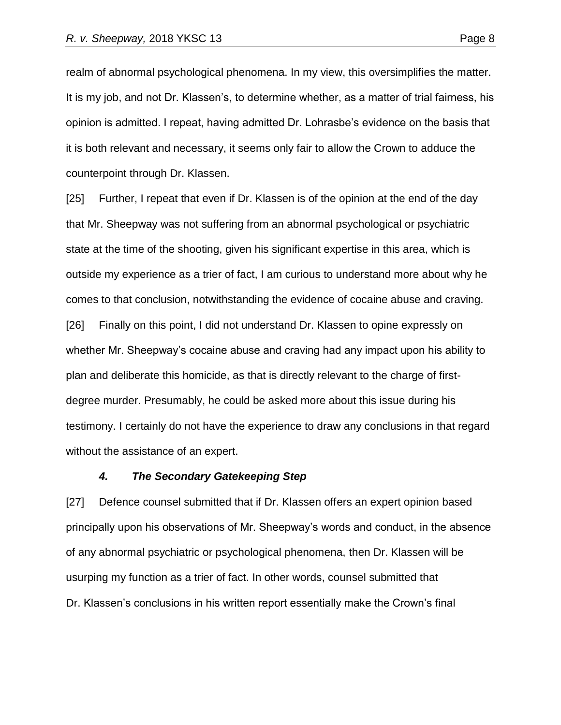realm of abnormal psychological phenomena. In my view, this oversimplifies the matter. It is my job, and not Dr. Klassen's, to determine whether, as a matter of trial fairness, his opinion is admitted. I repeat, having admitted Dr. Lohrasbe's evidence on the basis that it is both relevant and necessary, it seems only fair to allow the Crown to adduce the counterpoint through Dr. Klassen.

[25] Further, I repeat that even if Dr. Klassen is of the opinion at the end of the day that Mr. Sheepway was not suffering from an abnormal psychological or psychiatric state at the time of the shooting, given his significant expertise in this area, which is outside my experience as a trier of fact, I am curious to understand more about why he comes to that conclusion, notwithstanding the evidence of cocaine abuse and craving. [26] Finally on this point, I did not understand Dr. Klassen to opine expressly on whether Mr. Sheepway's cocaine abuse and craving had any impact upon his ability to plan and deliberate this homicide, as that is directly relevant to the charge of firstdegree murder. Presumably, he could be asked more about this issue during his testimony. I certainly do not have the experience to draw any conclusions in that regard without the assistance of an expert.

#### *4. The Secondary Gatekeeping Step*

[27] Defence counsel submitted that if Dr. Klassen offers an expert opinion based principally upon his observations of Mr. Sheepway's words and conduct, in the absence of any abnormal psychiatric or psychological phenomena, then Dr. Klassen will be usurping my function as a trier of fact. In other words, counsel submitted that Dr. Klassen's conclusions in his written report essentially make the Crown's final